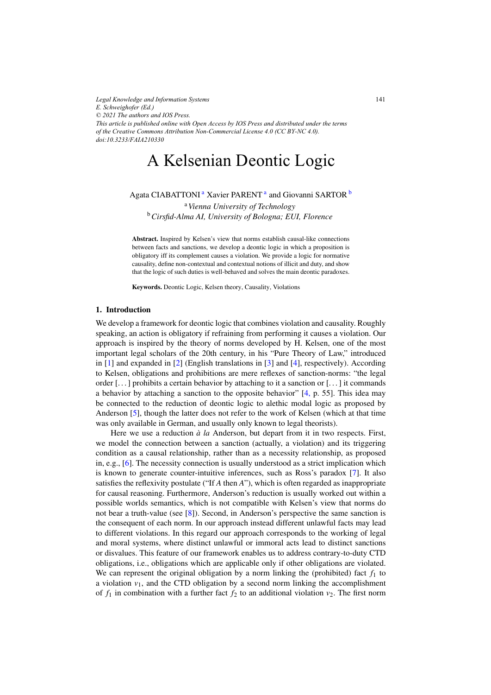*Legal Knowledge and Information Systems E. Schweighofer (Ed.) © 2021 The authors and IOS Press. This article is published online with Open Access by IOS Press and distributed under the terms of the Creative Commons Attribution Non-Commercial License 4.0 (CC BY-NC 4.0). doi:10.3233/FAIA210330*

# A Kelsenian Deontic Logic

Agata CIABATTONI<sup>a</sup> Xavier PARENT<sup>a</sup> and Giovanni SARTOR<sup>b</sup>

<sup>a</sup>*Vienna University of Technology* <sup>b</sup>*Cirsfid-Alma AI, University of Bologna; EUI, Florence*

Abstract. Inspired by Kelsen's view that norms establish causal-like connections between facts and sanctions, we develop a deontic logic in which a proposition is obligatory iff its complement causes a violation. We provide a logic for normative causality, define non-contextual and contextual notions of illicit and duty, and show that the logic of such duties is well-behaved and solves the main deontic paradoxes.

Keywords. Deontic Logic, Kelsen theory, Causality, Violations

# 1. Introduction

We develop a framework for deontic logic that combines violation and causality. Roughly speaking, an action is obligatory if refraining from performing it causes a violation. Our approach is inspired by the theory of norms developed by H. Kelsen, one of the most important legal scholars of the 20th century, in his "Pure Theory of Law," introduced in [\[1\]](#page-9-0) and expanded in [\[2\]](#page-9-0) (English translations in [\[3\]](#page-9-0) and [\[4\]](#page-9-0), respectively). According to Kelsen, obligations and prohibitions are mere reflexes of sanction-norms: "the legal order  $[\dots]$  prohibits a certain behavior by attaching to it a sanction or  $[\dots]$  it commands a behavior by attaching a sanction to the opposite behavior" [\[4,](#page-9-0) p. 55]. This idea may be connected to the reduction of deontic logic to alethic modal logic as proposed by Anderson [\[5\]](#page-9-0), though the latter does not refer to the work of Kelsen (which at that time was only available in German, and usually only known to legal theorists).

Here we use a reduction  $\dot{a}$  *la* Anderson, but depart from it in two respects. First, we model the connection between a sanction (actually, a violation) and its triggering condition as a causal relationship, rather than as a necessity relationship, as proposed in, e.g., [\[6\]](#page-9-0). The necessity connection is usually understood as a strict implication which is known to generate counter-intuitive inferences, such as Ross's paradox [\[7\]](#page-9-0). It also satisfies the reflexivity postulate ("If *A* then *A*"), which is often regarded as inappropriate for causal reasoning. Furthermore, Anderson's reduction is usually worked out within a possible worlds semantics, which is not compatible with Kelsen's view that norms do not bear a truth-value (see [\[8\]](#page-9-0)). Second, in Anderson's perspective the same sanction is the consequent of each norm. In our approach instead different unlawful facts may lead to different violations. In this regard our approach corresponds to the working of legal and moral systems, where distinct unlawful or immoral acts lead to distinct sanctions or disvalues. This feature of our framework enables us to address contrary-to-duty CTD obligations, i.e., obligations which are applicable only if other obligations are violated. We can represent the original obligation by a norm linking the (prohibited) fact  $f_1$  to a violation  $v_1$ , and the CTD obligation by a second norm linking the accomplishment of  $f_1$  in combination with a further fact  $f_2$  to an additional violation  $v_2$ . The first norm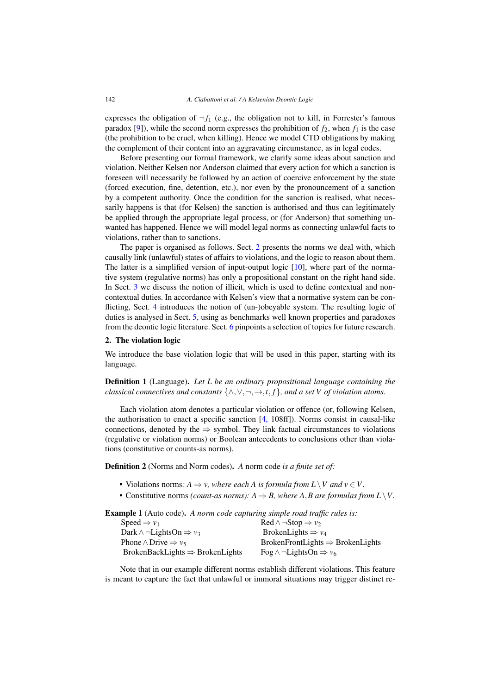<span id="page-1-0"></span>expresses the obligation of  $\neg f_1$  (e.g., the obligation not to kill, in Forrester's famous paradox [\[9\]](#page-9-0)), while the second norm expresses the prohibition of  $f_2$ , when  $f_1$  is the case (the prohibition to be cruel, when killing). Hence we model CTD obligations by making the complement of their content into an aggravating circumstance, as in legal codes.

Before presenting our formal framework, we clarify some ideas about sanction and violation. Neither Kelsen nor Anderson claimed that every action for which a sanction is foreseen will necessarily be followed by an action of coercive enforcement by the state (forced execution, fine, detention, etc.), nor even by the pronouncement of a sanction by a competent authority. Once the condition for the sanction is realised, what necessarily happens is that (for Kelsen) the sanction is authorised and thus can legitimately be applied through the appropriate legal process, or (for Anderson) that something unwanted has happened. Hence we will model legal norms as connecting unlawful facts to violations, rather than to sanctions.

The paper is organised as follows. Sect. 2 presents the norms we deal with, which causally link (unlawful) states of affairs to violations, and the logic to reason about them. The latter is a simplified version of input-output logic [\[10\]](#page-9-0), where part of the normative system (regulative norms) has only a propositional constant on the right hand side. In Sect. [3](#page-2-0) we discuss the notion of illicit, which is used to define contextual and noncontextual duties. In accordance with Kelsen's view that a normative system can be conflicting, Sect. [4](#page-5-0) introduces the notion of (un-)obeyable system. The resulting logic of duties is analysed in Sect. [5,](#page-6-0) using as benchmarks well known properties and paradoxes from the deontic logic literature. Sect. [6](#page-8-0) pinpoints a selection of topics for future research.

### 2. The violation logic

We introduce the base violation logic that will be used in this paper, starting with its language.

Definition 1 (Language). *Let L be an ordinary propositional language containing the classical connectives and constants*  $\{\wedge, \vee, \neg, \rightarrow, t, f\}$ *, and a set V of violation atoms.* 

Each violation atom denotes a particular violation or offence (or, following Kelsen, the authorisation to enact a specific sanction  $[4, 108ff]$  $[4, 108ff]$ ). Norms consist in causal-like connections, denoted by the  $\Rightarrow$  symbol. They link factual circumstances to violations (regulative or violation norms) or Boolean antecedents to conclusions other than violations (constitutive or counts-as norms).

Definition 2 (Norms and Norm codes). *A* norm code *is a finite set of:*

- Violations norms:  $A \Rightarrow v$ , where each A is formula from  $L \setminus V$  and  $v \in V$ .
- Constitutive norms *(count-as norms):*  $A \Rightarrow B$ *, where A,B are formulas from L* \ V.

Example 1 (Auto code). *A norm code capturing simple road traffic rules is:*

| $\text{Red} \wedge \neg \text{Stop} \Rightarrow v_2$ |
|------------------------------------------------------|
| BrokenLights $\Rightarrow$ $v_4$                     |
| $BrokenFrontLights \Rightarrow BrokenLights$         |
| Fog $\land \neg$ LightsOn $\Rightarrow v_6$          |
|                                                      |

Note that in our example different norms establish different violations. This feature is meant to capture the fact that unlawful or immoral situations may trigger distinct re-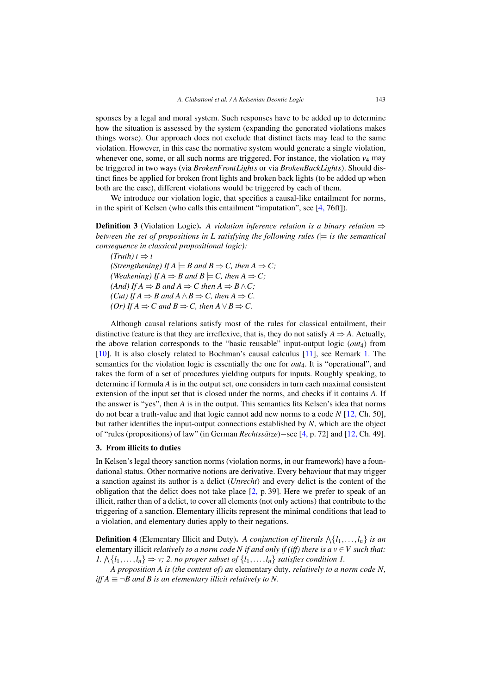<span id="page-2-0"></span>sponses by a legal and moral system. Such responses have to be added up to determine how the situation is assessed by the system (expanding the generated violations makes things worse). Our approach does not exclude that distinct facts may lead to the same violation. However, in this case the normative system would generate a single violation, whenever one, some, or all such norms are triggered. For instance, the violation  $v_4$  may be triggered in two ways (via *BrokenFrontLights* or via *BrokenBackLights*). Should distinct fines be applied for broken front lights and broken back lights (to be added up when both are the case), different violations would be triggered by each of them.

We introduce our violation logic, that specifies a causal-like entailment for norms, in the spirit of Kelsen (who calls this entailment "imputation", see [\[4,](#page-9-0) 76ff]).

**Definition 3** (Violation Logic). A violation inference relation is a binary relation  $\Rightarrow$ *between the set of propositions in L satisfying the following rules* ( $\models$  *is the semantical consequence in classical propositional logic):*

 $(Truth) t \Rightarrow t$ *(Strengthening) If*  $A \models B$  *and*  $B \Rightarrow C$ *, then*  $A \Rightarrow C$ *; (Weakening)* If  $A \Rightarrow B$  and  $B \models C$ , then  $A \Rightarrow C$ ; *(And) If A*  $\Rightarrow$  *B and A*  $\Rightarrow$  *C then A*  $\Rightarrow$  *B* ∧ *C*; *(Cut) If A*  $\Rightarrow$  *B* and *A* ∧ *B*  $\Rightarrow$  *C*, then *A*  $\Rightarrow$  *C*. *(Or) If A*  $\Rightarrow$  *C and B*  $\Rightarrow$  *C*, *then A*  $\vee$  *B*  $\Rightarrow$  *C*.

Although causal relations satisfy most of the rules for classical entailment, their distinctive feature is that they are irreflexive, that is, they do not satisfy  $A \Rightarrow A$ . Actually, the above relation corresponds to the "basic reusable" input-output logic (*out*4) from [\[10\]](#page-9-0). It is also closely related to Bochman's causal calculus [\[11\]](#page-9-0), see Remark [1.](#page-4-0) The semantics for the violation logic is essentially the one for *out*4. It is "operational", and takes the form of a set of procedures yielding outputs for inputs. Roughly speaking, to determine if formula *A* is in the output set, one considers in turn each maximal consistent extension of the input set that is closed under the norms, and checks if it contains *A*. If the answer is "yes", then *A* is in the output. This semantics fits Kelsen's idea that norms do not bear a truth-value and that logic cannot add new norms to a code *N* [\[12,](#page-9-0) Ch. 50], but rather identifies the input-output connections established by *N*, which are the object of "rules (propositions) of law" (in German *Rechtssatze ¨* )−see [\[4,](#page-9-0) p. 72] and [\[12,](#page-9-0) Ch. 49].

## 3. From illicits to duties

In Kelsen's legal theory sanction norms (violation norms, in our framework) have a foundational status. Other normative notions are derivative. Every behaviour that may trigger a sanction against its author is a delict (*Unrecht*) and every delict is the content of the obligation that the delict does not take place [\[2,](#page-9-0) p. 39]. Here we prefer to speak of an illicit, rather than of a delict, to cover all elements (not only actions) that contribute to the triggering of a sanction. Elementary illicits represent the minimal conditions that lead to a violation, and elementary duties apply to their negations.

**Definition 4** (Elementary Illicit and Duty). A conjunction of literals  $\Lambda\{l_1,\ldots,l_n\}$  is an elementary illicit *relatively to a norm code N if and only if (iff)* there is  $a v \in V$  such that: *1.*  $\Lambda$ { $l_1$ ,..., $l_n$ }  $\Rightarrow$  *v;* 2. *no proper subset of* { $l_1$ ,..., $l_n$ } *satisfies condition 1.* 

*A proposition A is (the content of) an* elementary duty*, relatively to a norm code N, iff A* ≡ ¬*B and B is an elementary illicit relatively to N.*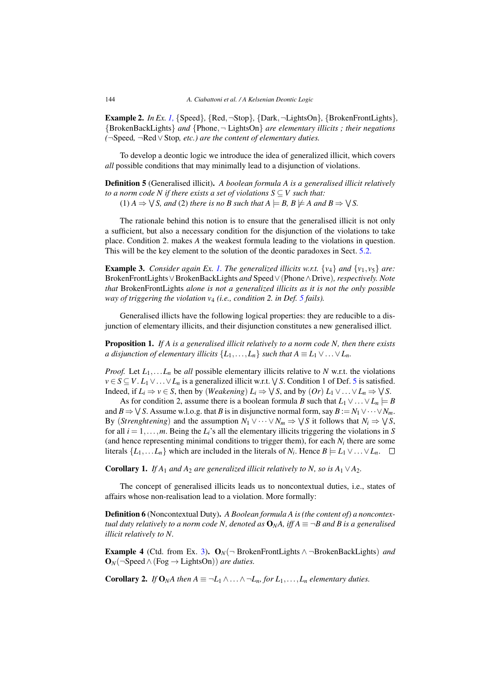<span id="page-3-0"></span>Example 2. *In Ex. [1,](#page-1-0)* {Speed}*,* {Red,¬Stop}*,* {Dark,¬LightsOn}*,* {BrokenFrontLights}*,* {BrokenBackLights} *and* {Phone,¬ LightsOn} *are elementary illicits ; their negations (*¬Speed*,* ¬Red∨Stop*, etc.) are the content of elementary duties.*

To develop a deontic logic we introduce the idea of generalized illicit, which covers *all* possible conditions that may minimally lead to a disjunction of violations.

Definition 5 (Generalised illicit). *A boolean formula A is a generalised illicit relatively to a norm code N if there exists a set of violations*  $S \subseteq V$  *such that:*  $(1)$   $A \Rightarrow \forall S$ , and (2) there is no B such that  $A \models B$ ,  $B \not\models A$  and  $B \Rightarrow \forall S$ .

The rationale behind this notion is to ensure that the generalised illicit is not only a sufficient, but also a necessary condition for the disjunction of the violations to take place. Condition 2. makes *A* the weakest formula leading to the violations in question. This will be the key element to the solution of the deontic paradoxes in Sect. [5.2.](#page-7-0)

**Example 3.** *Consider again Ex. [1.](#page-1-0) The generalized illicits w.r.t.*  $\{v_4\}$  *and*  $\{v_1, v_5\}$  *are:* BrokenFrontLights∨BrokenBackLights *and* Speed∨(Phone∧Drive)*, respectively. Note that* BrokenFrontLights *alone is not a generalized illicits as it is not the only possible way of triggering the violation v*<sup>4</sup> *(i.e., condition 2. in Def. 5 fails).*

Generalised illicts have the following logical properties: they are reducible to a disjunction of elementary illicits, and their disjunction constitutes a new generalised illict.

Proposition 1. *If A is a generalised illicit relatively to a norm code N, then there exists a disjunction of elementary illicits*  $\{L_1, \ldots, L_n\}$  *such that*  $A \equiv L_1 \vee \ldots \vee L_n$ .

*Proof.* Let  $L_1, \ldots, L_n$  be *all* possible elementary illicits relative to *N* w.r.t. the violations *v* ∈ *S* ⊆ *V*. *L*<sub>1</sub> ∨... ∨ *L*<sub>n</sub> is a generalized illicit w.r.t.  $\sqrt{S}$ . Condition 1 of Def. 5 is satisfied. Indeed, if  $L_i \Rightarrow v \in S$ , then by (*Weakening*)  $L_i \Rightarrow \bigvee S$ , and by  $(Or) L_1 \vee ... \vee L_n \Rightarrow \bigvee S$ .

As for condition 2, assume there is a boolean formula *B* such that  $L_1 \vee \ldots \vee L_n \models B$ and *B*  $\Rightarrow$   $\forall$  *S*. Assume w.l.o.g. that *B* is in disjunctive normal form, say *B* := *N*<sub>1</sub>  $\lor \dots \lor N_m$ . By (*Strenghtening*) and the assumption  $N_1 \vee \cdots \vee N_m \Rightarrow \bigvee S$  it follows that  $N_i \Rightarrow \bigvee S$ , for all  $i = 1, \ldots, m$ . Being the  $L_i$ 's all the elementary illicits triggering the violations in *S* (and hence representing minimal conditions to trigger them), for each  $N_i$  there are some literals  $\{L_1, \ldots L_n\}$  which are included in the literals of  $N_i$ . Hence  $B \models L_1 \vee \ldots \vee L_n$ .  $\Box$ 

Corollary 1. *If*  $A_1$  *and*  $A_2$  *are generalized illicit relatively to N, so is*  $A_1 \vee A_2$ *.* 

The concept of generalised illicits leads us to noncontextual duties, i.e., states of affairs whose non-realisation lead to a violation. More formally:

Definition 6 (Noncontextual Duty). *A Boolean formula A is (the content of) a noncontextual duty relatively to a norm code N, denoted as*  $\mathbf{O}_N A$ , *iff*  $A \equiv \neg B$  *and*  $B$  *is a generalised illicit relatively to N.*

**Example 4** (Ctd. from Ex. 3).  $\mathbf{O}_N$  → BrokenFrontLights  $\land$  → BrokenBackLights) *and*  $\mathbf{O}_N(\neg$ Speed  $\wedge$  (Fog  $\rightarrow$  LightsOn)) *are duties*.

Corollary 2. *If* O<sub>N</sub>A then  $A \equiv \neg L_1 \wedge \dots \wedge \neg L_n$  for  $L_1, \dots, L_n$  elementary duties.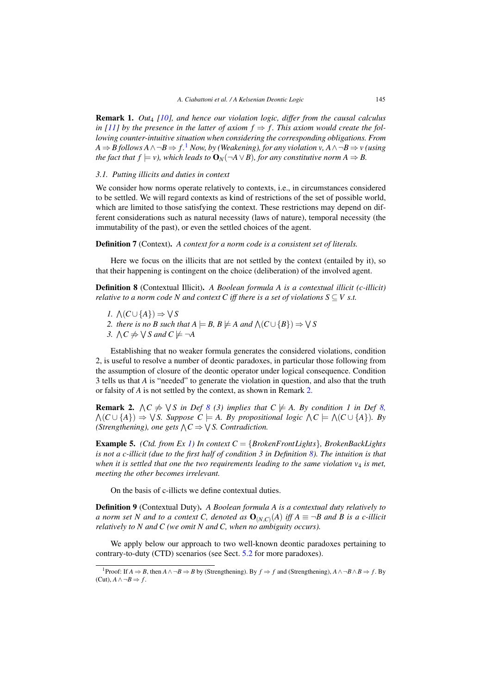<span id="page-4-0"></span>**Remark 1.** *Out<sub>4</sub> [\[10\]](#page-9-0)*, and hence our violation logic, differ from the causal calculus *in [\[11\]](#page-9-0)* by the presence in the latter of axiom  $f \Rightarrow f$ . This axiom would create the fol*lowing counter-intuitive situation when considering the corresponding obligations. From A*  $\Rightarrow$  *B* follows *A* ∧ ¬*B*  $\Rightarrow$  *f*.<sup>1</sup> *Now, by (Weakening), for any violation v, <i>A* ∧ ¬*B*  $\Rightarrow$  *v* (using *the fact that f*  $\models v$ *), which leads to*  $\mathbf{O}_N(\neg A \lor B)$ *, for any constitutive norm*  $A \Rightarrow B$ *.* 

# *3.1. Putting illicits and duties in context*

We consider how norms operate relatively to contexts, i.e., in circumstances considered to be settled. We will regard contexts as kind of restrictions of the set of possible world, which are limited to those satisfying the context. These restrictions may depend on different considerations such as natural necessity (laws of nature), temporal necessity (the immutability of the past), or even the settled choices of the agent.

Definition 7 (Context). *A context for a norm code is a consistent set of literals.*

Here we focus on the illicits that are not settled by the context (entailed by it), so that their happening is contingent on the choice (deliberation) of the involved agent.

Definition 8 (Contextual Illicit). *A Boolean formula A is a contextual illicit (c-illicit) relative to a norm code N and context C iff there is a set of violations*  $S \subseteq V$  *s.t.* 

- *1.*  $\Lambda$ (*C*∪{*A*}) ⇒  $\vee$ *S*
- 2. there is no *B* such that  $A \models B$ ,  $B \not\models A$  and  $\wedge (C \cup \{B\}) \Rightarrow \vee S$
- 3.  $\bigwedge C \neq \bigvee S$  and  $C \not\models \neg A$

Establishing that no weaker formula generates the considered violations, condition 2, is useful to resolve a number of deontic paradoxes, in particular those following from the assumption of closure of the deontic operator under logical consequence. Condition 3 tells us that *A* is "needed" to generate the violation in question, and also that the truth or falsity of *A* is not settled by the context, as shown in Remark 2.

**Remark 2.**  $\land$   $C \neq \lor S$  *in Def*  $\land$  *(3) implies that*  $C \neq A$ *. By condition 1 in Def*  $\land$ *,*  $\wedge$   $(C \cup \{A\}) \Rightarrow \vee S$ . Suppose  $C \models A$ . By propositional logic  $\wedge C \models \wedge$   $(C \cup \{A\})$ . By *(Strengthening), one gets*  $\bigwedge C \Rightarrow \bigvee S$ *. Contradiction.* 

Example 5. *(Ctd. from Ex [1\)](#page-1-0) In context C* = {*BrokenFrontLights*}*, BrokenBackLights is not a c-illicit (due to the first half of condition 3 in Definition 8). The intuition is that when it is settled that one the two requirements leading to the same violation v*<sup>4</sup> *is met, meeting the other becomes irrelevant.*

On the basis of c-illicts we define contextual duties.

Definition 9 (Contextual Duty). *A Boolean formula A is a contextual duty relatively to a norm set N and to a context C, denoted as*  $\mathbf{O}_{(NC)}(A)$  *iff*  $A \equiv \neg B$  *and* B *is a c-illicit relatively to N and C (we omit N and C, when no ambiguity occurs).*

We apply below our approach to two well-known deontic paradoxes pertaining to contrary-to-duty (CTD) scenarios (see Sect. [5.2](#page-7-0) for more paradoxes).

<sup>1</sup>Proof: If *<sup>A</sup>* <sup>⇒</sup> *<sup>B</sup>*, then *<sup>A</sup>*∧¬*<sup>B</sup>* <sup>⇒</sup> *<sup>B</sup>* by (Strengthening). By *<sup>f</sup>* <sup>⇒</sup> *<sup>f</sup>* and (Strengthening), *<sup>A</sup>*∧¬*B*∧*<sup>B</sup>* <sup>⇒</sup> *<sup>f</sup>* . By  $(Cut)$ ,  $A \land \neg B \Rightarrow f$ .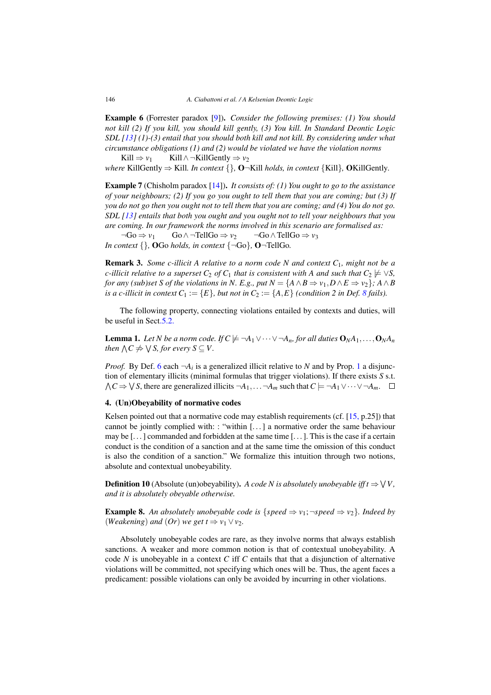<span id="page-5-0"></span>Example 6 (Forrester paradox [\[9\]](#page-9-0)). *Consider the following premises: (1) You should not kill (2) If you kill, you should kill gently, (3) You kill. In Standard Deontic Logic SDL [\[13\]](#page-9-0) (1)-(3) entail that you should both kill and not kill. By considering under what circumstance obligations (1) and (2) would be violated we have the violation norms*

Kill  $\Rightarrow$  *v*<sub>1</sub> Kill ∧ ¬KillGently  $\Rightarrow$  *v*<sub>2</sub> *where* KillGently  $\Rightarrow$  Kill. *In context*  $\{\}, \mathbf{O} \neg$ Kill *holds, in context*  $\{Kill\}, \mathbf{OKillGently.}$ 

Example 7 (Chisholm paradox [\[14\]](#page-9-0)). *It consists of: (1) You ought to go to the assistance of your neighbours; (2) If you go you ought to tell them that you are coming; but (3) If you do not go then you ought not to tell them that you are coming; and (4) You do not go. SDL [\[13\]](#page-9-0) entails that both you ought and you ought not to tell your neighbours that you are coming. In our framework the norms involved in this scenario are formalised as:*

 $\neg Go \Rightarrow v_1$   $Go \wedge \neg TellGo \Rightarrow v_2$   $\neg Go \wedge TellGo \Rightarrow v_3$ *In context*  $\{\}$ , **OGo** *holds, in context*  $\{\neg Go\}$ , **O** $\neg$ TellGo.

Remark 3. *Some c-illicit A relative to a norm code N and context C*1*, might not be a c*-illicit relative to a superset  $C_2$  of  $C_1$  that is consistent with A and such that  $C_2 \not\models \vee S$ , *for any (sub)set S of the violations in N. E.g., put*  $N = \{A \land B \Rightarrow v_1, D \land E \Rightarrow v_2\}$ *;*  $A \land B$ *is a c-illicit in context*  $C_1 := \{E\}$ *, but not in*  $C_2 := \{A, E\}$  *(condition 2 in Def. [8](#page-4-0) fails).* 

The following property, connecting violations entailed by contexts and duties, will be useful in Sect[.5.2.](#page-7-0)

**Lemma 1.** Let N be a norm code. If  $C \not\models \neg A_1 \vee \cdots \vee \neg A_n$ , for all duties  $O_N A_1, \ldots, O_N A_n$ *then*  $\bigwedge C \neq \bigvee S$ , for every  $S \subseteq V$ .

*Proof.* By Def. [6](#page-3-0) each  $\neg A_i$  is a generalized illicit relative to *N* and by Prop. [1](#page-3-0) a disjunction of elementary illicits (minimal formulas that trigger violations). If there exists *S* s.t.  $\bigwedge C \Rightarrow \bigvee S$ , there are generalized illicits  $\neg A_1, \dots \neg A_m$  such that  $C \models \neg A_1 \vee \dots \vee \neg A_m$ .

# 4. (Un)Obeyability of normative codes

Kelsen pointed out that a normative code may establish requirements (cf.  $[15, p.25]$  $[15, p.25]$ ) that cannot be jointly complied with: : "within [...] a normative order the same behaviour may be  $[\dots]$  commanded and forbidden at the same time  $[\dots]$ . This is the case if a certain conduct is the condition of a sanction and at the same time the omission of this conduct is also the condition of a sanction." We formalize this intuition through two notions, absolute and contextual unobeyability.

**Definition 10** (Absolute (un)obeyability). *A code N is absolutely unobeyable iff t*  $\Rightarrow \forall V$ , *and it is absolutely obeyable otherwise.*

**Example 8.** An absolutely unobeyable code is { $speed \Rightarrow v_1$ ; ¬ $speed \Rightarrow v_2$ }. Indeed by *(Weakening) and (Or) we get*  $t \Rightarrow v_1 \vee v_2$ *.* 

Absolutely unobeyable codes are rare, as they involve norms that always establish sanctions. A weaker and more common notion is that of contextual unobeyability. A code *N* is unobeyable in a context *C* iff *C* entails that that a disjunction of alternative violations will be committed, not specifying which ones will be. Thus, the agent faces a predicament: possible violations can only be avoided by incurring in other violations.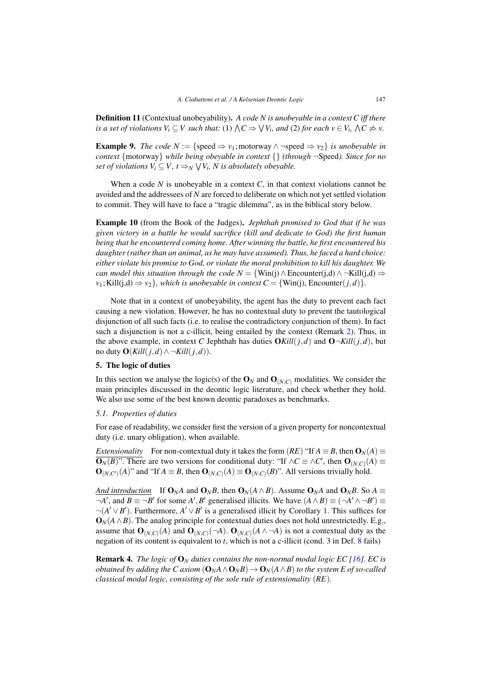<span id="page-6-0"></span>Definition 11 (Contextual unobeyability). *A code N is unobeyable in a context C iff there is a set of violations*  $V_i \subseteq V$  *such that:* (1)  $\bigwedge C \Rightarrow \bigvee V_i$ , and (2) for each  $v \in V_i$ ,  $\bigwedge C \neq v$ .

**Example 9.** *The code*  $N := \{ \text{speed} \Rightarrow v_1 \}$ ; motorway  $\land \neg \text{speed} \Rightarrow v_2 \}$  *is unobeyable in context* {motorway} *while being obeyable in context* {} *(through* ¬Speed*). Since for no set of violations*  $V_i \subseteq V$ ,  $t \Rightarrow_N \bigvee V_i$ , *N* is absolutely obeyable.

When a code  $N$  is unobeyable in a context  $C$ , in that context violations cannot be avoided and the addressees of *N* are forced to deliberate on which not yet settled violation to commit. They will have to face a "tragic dilemma", as in the biblical story below.

Example 10 (from the Book of the Judges). *Jephthah promised to God that if he was given victory in a battle he would sacrifice (kill and dedicate to God) the first human being that he encountered coming home. After winning the battle, he first encountered his daughter (rather than an animal, as he may have assumed). Thus, he faced a hard choice: either violate his promise to God, or violate the moral prohibition to kill his daughter. We can model this situation through the code*  $N = \{Win(j) \land Encounter(j,d) \land \neg Kills(j,d) \Rightarrow$  $\nu_1$ ; Kill(*j*,d)  $\Rightarrow \nu_2$ *}, which is unobeyable in context*  $C = \{Win(j),«Superfictions)$ *.* 

Note that in a context of unobeyability, the agent has the duty to prevent each fact causing a new violation. However, he has no contextual duty to prevent the tautological disjunction of all such facts (i.e. to realise the contradictory conjunction of them). In fact such a disjunction is not a c-illicit, being entailed by the context (Remark [2\)](#page-4-0). Thus, in the above example, in context *C* Jephthah has duties  $OKill(j,d)$  and  $O\neg Kill(j,d)$ , but no duty  $\mathbf{O}(Kill(j,d) \land \neg Kill(j,d)).$ 

# 5. The logic of duties

In this section we analyse the logic(s) of the  $\mathbf{O}_N$  and  $\mathbf{O}_{(N,C)}$  modalities. We consider the main principles discussed in the deontic logic literature, and check whether they hold. We also use some of the best known deontic paradoxes as benchmarks.

# *5.1. Properties of duties*

For ease of readability, we consider first the version of a given property for noncontextual duty (i.e. unary obligation), when available.

*Extensionality* For non-contextual duty it takes the form  $(RE)$  "If  $A \equiv B$ , then  $\mathbf{O}_N(A) \equiv$  $\mathbf{O}_N(B)$ ". There are two versions for conditional duty: "If  $\wedge C \equiv \wedge C'$ , then  $\mathbf{O}_{(N,C)}(A) \equiv$  $\mathbf{O}_{(N,C')}(A)$ " and "If  $A \equiv B$ , then  $\mathbf{O}_{(N,C)}(A) \equiv \mathbf{O}_{(N,C)}(B)$ ". All versions trivially hold.

*And introduction* If  $\mathbf{O}_N A$  and  $\mathbf{O}_N B$ , then  $\mathbf{O}_N (A \wedge B)$ . Assume  $\mathbf{O}_N A$  and  $\mathbf{O}_N B$ . So  $A \equiv$  $\neg A'$ , and  $B \equiv \neg B'$  for some *A'*, *B'* generalised illicits. We have  $(A \land B) \equiv (\neg A' \land \neg B') \equiv$ ¬(*A* ∨*B* ). Furthermore, *A* ∨*B* is a generalised illicit by Corollary [1.](#page-3-0) This suffices for  $\mathbf{O}_N(A \wedge B)$ . The analog principle for contextual duties does not hold unrestrictedly. E.g., assume that  $\mathbf{O}_{(N,C)}(A)$  and  $\mathbf{O}_{(N,C)}(\neg A)$ .  $\mathbf{O}_{(N,C)}(A \wedge \neg A)$  is not a contextual duty as the negation of its content is equivalent to *t*, which is not a c-illicit (cond. 3 in Def. [8](#page-4-0) fails)

Remark 4. *The logic of* O*<sup>N</sup> duties contains the non-normal modal logic EC [\[16\]](#page-9-0). EC is obtained by adding the C axiom*  $(O_M A \wedge O_N B) \rightarrow O_N(A \wedge B)$  *to the system E of so-called classical modal logic, consisting of the sole rule of extensionality* (*RE*)*.*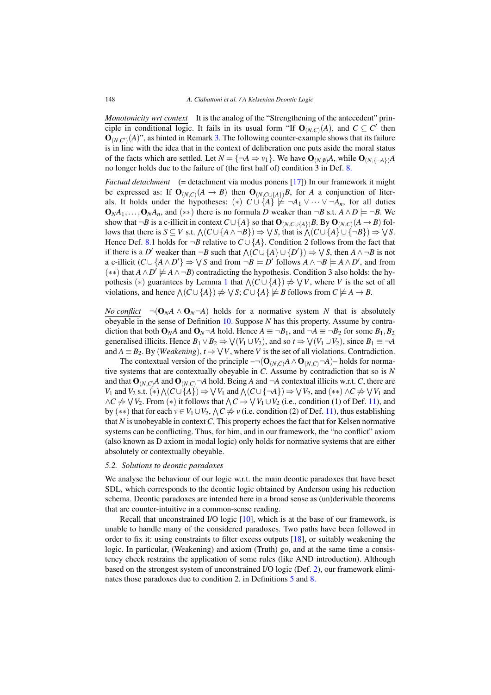<span id="page-7-0"></span>*Monotonicity wrt context* It is the analog of the "Strengthening of the antecedent" principle in conditional logic. It fails in its usual form "If  $O_{(N,C)}(A)$ , and  $C \subseteq C'$  then  $\mathbf{O}_{(N,C')}(A)$ ", as hinted in Remark [3.](#page-5-0) The following counter-example shows that its failure is in line with the idea that in the context of deliberation one puts aside the moral status of the facts which are settled. Let  $N = \{\neg A \Rightarrow v_1\}$ . We have  $\mathbf{O}_{(N,0)}A$ , while  $\mathbf{O}_{(N, \{-A\})}A$ no longer holds due to the failure of (the first half of) condition 3 in Def. [8.](#page-4-0)

*Factual detachment* (= detachment via modus ponens [\[17\]](#page-9-0)) In our framework it might be expressed as: If  $\mathbf{O}_{(N,C)}(A \to B)$  then  $\mathbf{O}_{(N,C\cup\{A\})}B$ , for *A* a conjunction of literals. It holds under the hypotheses: (\*)  $C \cup \{A\} \not\models \neg A_1 \vee \cdots \vee \neg A_n$ , for all duties  $\mathbf{O}_N A_1, \ldots, \mathbf{O}_N A_n$ , and (\*\*) there is no formula *D* weaker than  $\neg B$  s.t.  $A \wedge D$   $\models \neg B$ . We show that  $\neg B$  is a c-illicit in context  $C \cup \{A\}$  so that  $\mathbf{O}_{(N,C \cup \{A\})}B$ . By  $\mathbf{O}_{(N,C)}(A \to B)$  follows that there is  $S \subseteq V$  s.t.  $\wedge (C \cup \{A \wedge \neg B\}) \Rightarrow \vee S$ , that is  $\wedge (C \cup \{A\} \cup \{\neg B\}) \Rightarrow \vee S$ . Hence Def. [8.](#page-4-0)1 holds for  $\neg B$  relative to  $C \cup \{A\}$ . Condition 2 follows from the fact that if there is a *D'* weaker than  $\neg B$  such that  $\wedge (C \cup \{A\} \cup \{D'\}) \Rightarrow \vee S$ , then  $A \wedge \neg B$  is not a c-illicit  $(C \cup \{A \land D'\} \Rightarrow \bigvee S$  and from  $\neg B \models D'$  follows  $A \land \neg B \models A \land D'$ , and from  $(**)$  that *A*∧*D*<sup>'</sup>  $\neq$  *A*∧  $\neg$ *B*) contradicting the hypothesis. Condition 3 also holds: the hy-pothesis (\*) guarantees by Lemma [1](#page-5-0) that  $\wedge$  ( $C \cup \{A\}$ )  $\neq$   $\vee$  *V*, where *V* is the set of all violations, and hence  $\wedge$   $(C \cup \{A\}) \neq \vee S$ ;  $C \cup \{A\} \neq B$  follows from  $C \neq A \rightarrow B$ .

*No conflict*  $\neg(\mathbf{O}_N A \wedge \mathbf{O}_N \neg A)$  holds for a normative system *N* that is absolutely obeyable in the sense of Definition [10.](#page-5-0) Suppose *N* has this property. Assume by contradiction that both  $\mathbf{O}_{N}A$  and  $\mathbf{O}_{N}\neg A$  hold. Hence  $A \equiv \neg B_1$ , and  $\neg A \equiv \neg B_2$  for some  $B_1, B_2$ generalised illicits. Hence  $B_1 \vee B_2 \Rightarrow \bigvee (V_1 \cup V_2)$ , and so  $t \Rightarrow \bigvee (V_1 \cup V_2)$ , since  $B_1 \equiv \neg A$ and  $A \equiv B_2$ . By (*Weakening*),  $t \Rightarrow \forall V$ , where *V* is the set of all violations. Contradiction.

The contextual version of the principle  $\neg(\mathbf{O}_{(N,C)}A \wedge \mathbf{O}_{(N,C)}\neg A)$ – holds for normative systems that are contextually obeyable in *C*. Assume by contradiction that so is *N* and that  $O_{(N,C)}$ *A* and  $O_{(N,C)}$ <sup> $\neg$ </sup>*A* hold. Being *A* and  $\neg$ *A* contextual illicits w.r.t. *C*, there are  $V_1$  and  $V_2$  s.t. (\*)  $\wedge$   $(C \cup \{A\}) \Rightarrow \vee V_1$  and  $\wedge$   $(C \cup \{\neg A\}) \Rightarrow \vee V_2$ , and (\*\*)  $\wedge$   $C \neq \vee V_1$  and  $\land$ *C*  $\neq$   $\lor$  *V*<sub>2</sub>. From (\*) it follows that  $\land$  *C*  $\Rightarrow$   $\lor$  *V*<sub>1</sub> ∪ *V*<sub>2</sub> (i.e., condition (1) of Def. [11\)](#page-6-0), and by (\*\*) that for each  $v \in V_1 \cup V_2$ ,  $\wedge C \neq v$  (i.e. condition (2) of Def. [11\)](#page-6-0), thus establishing that *N* is unobeyable in context*C*. This property echoes the fact that for Kelsen normative systems can be conflicting. Thus, for him, and in our framework, the "no conflict" axiom (also known as D axiom in modal logic) only holds for normative systems that are either absolutely or contextually obeyable.

### *5.2. Solutions to deontic paradoxes*

We analyse the behaviour of our logic w.r.t. the main deontic paradoxes that have beset SDL, which corresponds to the deontic logic obtained by Anderson using his reduction schema. Deontic paradoxes are intended here in a broad sense as (un)derivable theorems that are counter-intuitive in a common-sense reading.

Recall that unconstrained I/O logic [\[10\]](#page-9-0), which is at the base of our framework, is unable to handle many of the considered paradoxes. Two paths have been followed in order to fix it: using constraints to filter excess outputs [\[18\]](#page-9-0), or suitably weakening the logic. In particular, (Weakening) and axiom (Truth) go, and at the same time a consistency check restrains the application of some rules (like AND introduction). Although based on the strongest system of unconstrained I/O logic (Def. [2\)](#page-1-0), our framework eliminates those paradoxes due to condition 2. in Definitions [5](#page-3-0) and [8.](#page-4-0)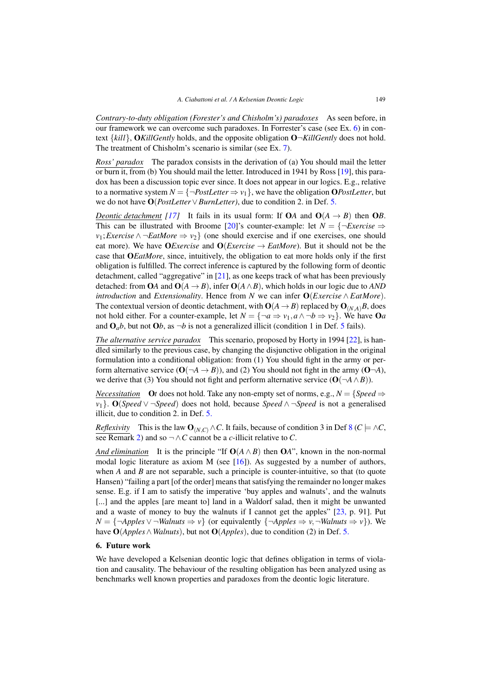<span id="page-8-0"></span>*Contrary-to-duty obligation (Forester's and Chisholm's) paradoxes* As seen before, in our framework we can overcome such paradoxes. In Forrester's case (see Ex. [6\)](#page-5-0) in context {*kill*}, O*KillGently* holds, and the opposite obligation O¬*KillGently* does not hold. The treatment of Chisholm's scenario is similar (see Ex. [7\)](#page-5-0).

*Ross' paradox* The paradox consists in the derivation of (a) You should mail the letter or burn it, from (b) You should mail the letter. Introduced in 1941 by Ross [\[19\]](#page-9-0), this paradox has been a discussion topic ever since. It does not appear in our logics. E.g., relative to a normative system  $N = \{\neg PostLetter \Rightarrow v_1\}$ , we have the obligation OPostLetter, but we do not have O(*PostLetter*∨*BurnLetter)*, due to condition 2. in Def. [5.](#page-3-0)

*Deontic detachment* [\[17\]](#page-9-0) It fails in its usual form: If  $OA$  and  $O(A \rightarrow B)$  then OB. This can be illustrated with Broome [\[20\]](#page-9-0)'s counter-example: let  $N = \{\neg Exercise \Rightarrow$ *v*<sub>1</sub>; *Exercise*  $\land \neg$  *EatMore*  $\Rightarrow v_2$  { (one should exercise and if one exercises, one should eat more). We have OExercise and O(Exercise  $\rightarrow$  *EatMore*). But it should not be the case that O*EatMore*, since, intuitively, the obligation to eat more holds only if the first obligation is fulfilled. The correct inference is captured by the following form of deontic detachment, called "aggregative" in [\[21\]](#page-9-0), as one keeps track of what has been previously detached: from OA and  $O(A \rightarrow B)$ , infer  $O(A \wedge B)$ , which holds in our logic due to *AND introduction* and *Extensionality*. Hence from *N* we can infer O(*Exercise* ∧ *EatMore*). The contextual version of deontic detachment, with  $O(A \rightarrow B)$  replaced by  $O(N_A)B$ , does not hold either. For a counter-example, let  $N = \{\neg a \Rightarrow v_1, a \land \neg b \Rightarrow v_2\}$ . We have Oa and  $\mathbf{O}_a b$ , but not  $\mathbf{O} b$ , as  $\neg b$  is not a generalized illicit (condition 1 in Def. [5](#page-3-0) fails).

*The alternative service paradox* This scenario, proposed by Horty in 1994 [\[22\]](#page-9-0), is handled similarly to the previous case, by changing the disjunctive obligation in the original formulation into a conditional obligation: from (1) You should fight in the army or perform alternative service  $(O(\neg A \rightarrow B))$ , and (2) You should not fight in the army  $(O\neg A)$ , we derive that (3) You should not fight and perform alternative service  $(O(\neg A \land B))$ .

*Necessitation* Ot does not hold. Take any non-empty set of norms, e.g.,  $N = \{Speed \Rightarrow$ *v*1}. O(*Speed* ∨ ¬*Speed*) does not hold, because *Speed* ∧ ¬*Speed* is not a generalised illicit, due to condition 2. in Def. [5.](#page-3-0)

*Reflexivity* This is the law  $O_{(N,C)} \wedge C$ . It fails, because of condition 3 in Def [8](#page-4-0) ( $C \models \wedge C$ , see Remark [2\)](#page-4-0) and so  $\neg \land C$  cannot be a *c*-illicit relative to *C*.

*And elimination* It is the principle "If  $O(A \wedge B)$  then  $OA$ ", known in the non-normal modal logic literature as axiom M (see  $[16]$ ). As suggested by a number of authors, when *A* and *B* are not separable, such a principle is counter-intuitive, so that (to quote Hansen) "failing a part [of the order] means that satisfying the remainder no longer makes sense. E.g. if I am to satisfy the imperative 'buy apples and walnuts', and the walnuts [...] and the apples [are meant to] land in a Waldorf salad, then it might be unwanted and a waste of money to buy the walnuts if I cannot get the apples"  $[23, p. 91]$  $[23, p. 91]$ . Put  $N = \{\neg$ *Apples*  $\vee \neg$ *Walnuts*  $\Rightarrow v$ } (or equivalently  $\{\neg$ *Apples*  $\Rightarrow v, \neg$ *Walnuts*  $\Rightarrow v$ }). We have O(*Apples*∧ *Walnuts*), but not O(*Apples*), due to condition (2) in Def. [5.](#page-3-0)

# 6. Future work

We have developed a Kelsenian deontic logic that defines obligation in terms of violation and causality. The behaviour of the resulting obligation has been analyzed using as benchmarks well known properties and paradoxes from the deontic logic literature.